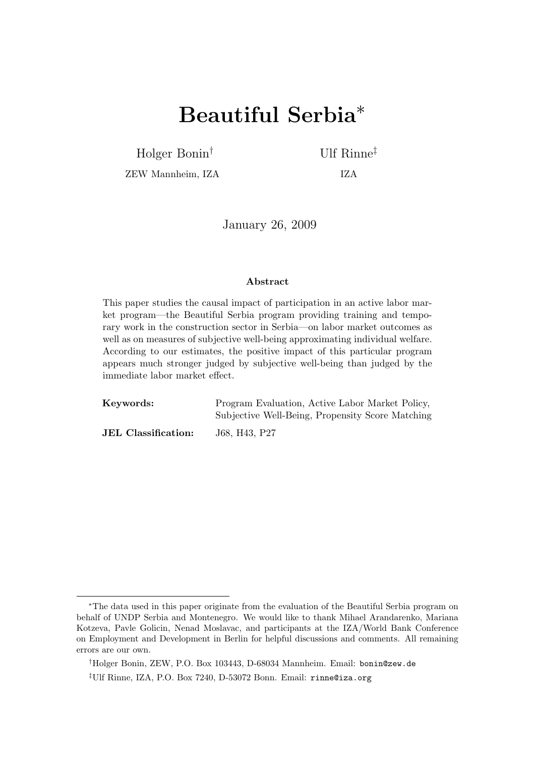# Beautiful Serbia<sup>∗</sup>

Holger Bonin† Ulf Rinne‡

ZEW Mannheim, IZA IZA

January 26, 2009

#### Abstract

This paper studies the causal impact of participation in an active labor market program—the Beautiful Serbia program providing training and temporary work in the construction sector in Serbia—on labor market outcomes as well as on measures of subjective well-being approximating individual welfare. According to our estimates, the positive impact of this particular program appears much stronger judged by subjective well-being than judged by the immediate labor market effect.

| Keywords:                  | Program Evaluation, Active Labor Market Policy,  |
|----------------------------|--------------------------------------------------|
|                            | Subjective Well-Being, Propensity Score Matching |
| <b>JEL</b> Classification: | J68, H43, P27                                    |

<sup>∗</sup>The data used in this paper originate from the evaluation of the Beautiful Serbia program on behalf of UNDP Serbia and Montenegro. We would like to thank Mihael Arandarenko, Mariana Kotzeva, Pavle Golicin, Nenad Moslavac, and participants at the IZA/World Bank Conference on Employment and Development in Berlin for helpful discussions and comments. All remaining errors are our own.

<sup>†</sup>Holger Bonin, ZEW, P.O. Box 103443, D-68034 Mannheim. Email: bonin@zew.de

<sup>‡</sup>Ulf Rinne, IZA, P.O. Box 7240, D-53072 Bonn. Email: rinne@iza.org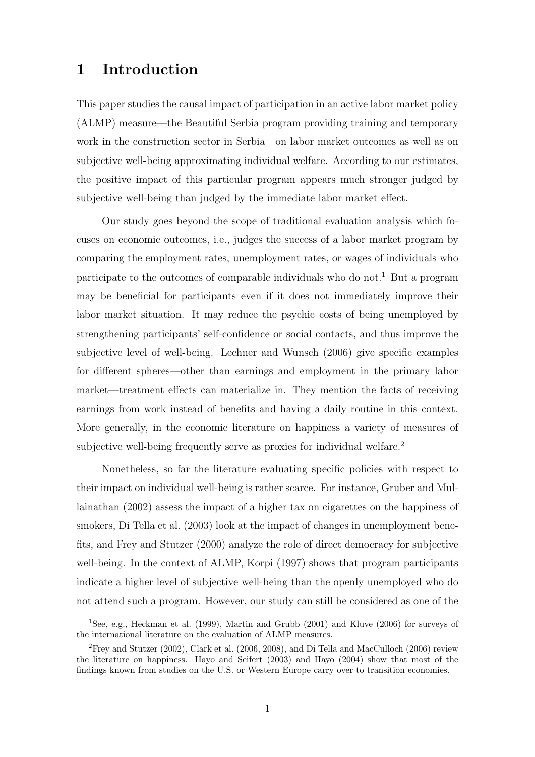# 1 Introduction

This paper studies the causal impact of participation in an active labor market policy (ALMP) measure—the Beautiful Serbia program providing training and temporary work in the construction sector in Serbia—on labor market outcomes as well as on subjective well-being approximating individual welfare. According to our estimates, the positive impact of this particular program appears much stronger judged by subjective well-being than judged by the immediate labor market effect.

Our study goes beyond the scope of traditional evaluation analysis which focuses on economic outcomes, i.e., judges the success of a labor market program by comparing the employment rates, unemployment rates, or wages of individuals who participate to the outcomes of comparable individuals who do not.<sup>1</sup> But a program may be beneficial for participants even if it does not immediately improve their labor market situation. It may reduce the psychic costs of being unemployed by strengthening participants' self-confidence or social contacts, and thus improve the subjective level of well-being. Lechner and Wunsch (2006) give specific examples for different spheres—other than earnings and employment in the primary labor market—treatment effects can materialize in. They mention the facts of receiving earnings from work instead of benefits and having a daily routine in this context. More generally, in the economic literature on happiness a variety of measures of subjective well-being frequently serve as proxies for individual welfare.<sup>2</sup>

Nonetheless, so far the literature evaluating specific policies with respect to their impact on individual well-being is rather scarce. For instance, Gruber and Mullainathan (2002) assess the impact of a higher tax on cigarettes on the happiness of smokers, Di Tella et al. (2003) look at the impact of changes in unemployment benefits, and Frey and Stutzer (2000) analyze the role of direct democracy for subjective well-being. In the context of ALMP, Korpi (1997) shows that program participants indicate a higher level of subjective well-being than the openly unemployed who do not attend such a program. However, our study can still be considered as one of the

<sup>1</sup>See, e.g., Heckman et al. (1999), Martin and Grubb (2001) and Kluve (2006) for surveys of the international literature on the evaluation of ALMP measures.

<sup>2</sup>Frey and Stutzer (2002), Clark et al. (2006, 2008), and Di Tella and MacCulloch (2006) review the literature on happiness. Hayo and Seifert (2003) and Hayo (2004) show that most of the findings known from studies on the U.S. or Western Europe carry over to transition economies.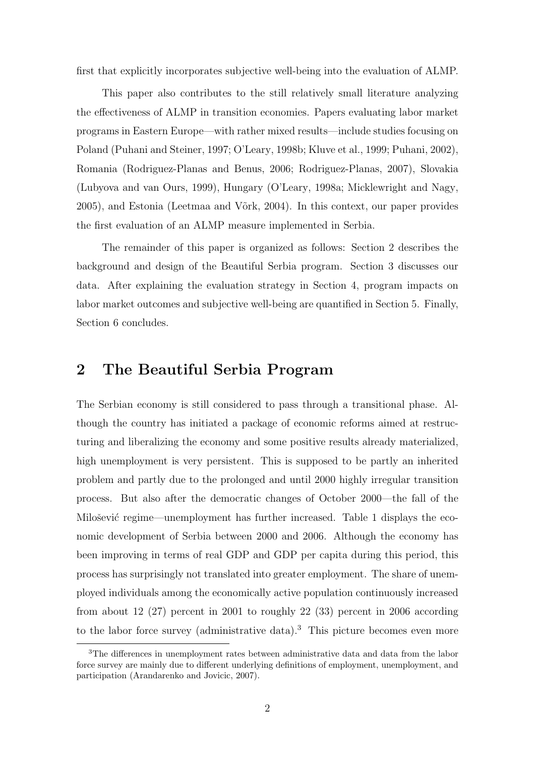first that explicitly incorporates subjective well-being into the evaluation of ALMP.

This paper also contributes to the still relatively small literature analyzing the effectiveness of ALMP in transition economies. Papers evaluating labor market programs in Eastern Europe—with rather mixed results—include studies focusing on Poland (Puhani and Steiner, 1997; O'Leary, 1998b; Kluve et al., 1999; Puhani, 2002), Romania (Rodriguez-Planas and Benus, 2006; Rodriguez-Planas, 2007), Slovakia (Lubyova and van Ours, 1999), Hungary (O'Leary, 1998a; Micklewright and Nagy, 2005), and Estonia (Leetmaa and V˜ork, 2004). In this context, our paper provides the first evaluation of an ALMP measure implemented in Serbia.

The remainder of this paper is organized as follows: Section 2 describes the background and design of the Beautiful Serbia program. Section 3 discusses our data. After explaining the evaluation strategy in Section 4, program impacts on labor market outcomes and subjective well-being are quantified in Section 5. Finally, Section 6 concludes.

#### 2 The Beautiful Serbia Program

The Serbian economy is still considered to pass through a transitional phase. Although the country has initiated a package of economic reforms aimed at restructuring and liberalizing the economy and some positive results already materialized, high unemployment is very persistent. This is supposed to be partly an inherited problem and partly due to the prolonged and until 2000 highly irregular transition process. But also after the democratic changes of October 2000—the fall of the Milošević regime—unemployment has further increased. Table 1 displays the economic development of Serbia between 2000 and 2006. Although the economy has been improving in terms of real GDP and GDP per capita during this period, this process has surprisingly not translated into greater employment. The share of unemployed individuals among the economically active population continuously increased from about 12 (27) percent in 2001 to roughly 22 (33) percent in 2006 according to the labor force survey (administrative data).<sup>3</sup> This picture becomes even more

<sup>3</sup>The differences in unemployment rates between administrative data and data from the labor force survey are mainly due to different underlying definitions of employment, unemployment, and participation (Arandarenko and Jovicic, 2007).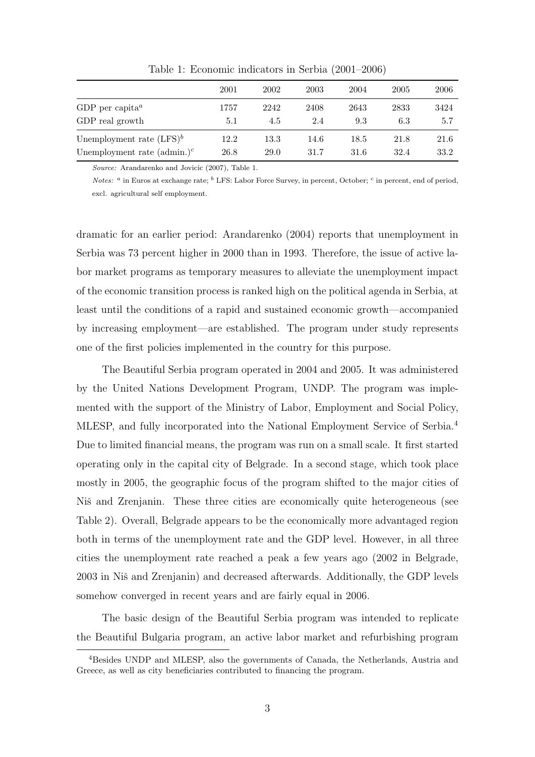|                                          | 2001 | 2002 | 2003 | 2004 | 2005 | 2006 |
|------------------------------------------|------|------|------|------|------|------|
| GDP per capita <sup><math>a</math></sup> | 1757 | 2242 | 2408 | 2643 | 2833 | 3424 |
| GDP real growth                          | 5.1  | 4.5  | 2.4  | 9.3  | 6.3  | 5.7  |
| Unemployment rate $(LFS)^b$              | 12.2 | 13.3 | 14.6 | 18.5 | 21.8 | 21.6 |
| Unemployment rate $(\text{admin.})^c$    | 26.8 | 29.0 | 31.7 | 31.6 | 32.4 | 33.2 |

Table 1: Economic indicators in Serbia (2001–2006)

Source: Arandarenko and Jovicic (2007), Table 1.

Notes: <sup>a</sup> in Euros at exchange rate; <sup>b</sup> LFS: Labor Force Survey, in percent, October; <sup>c</sup> in percent, end of period, excl. agricultural self employment.

dramatic for an earlier period: Arandarenko (2004) reports that unemployment in Serbia was 73 percent higher in 2000 than in 1993. Therefore, the issue of active labor market programs as temporary measures to alleviate the unemployment impact of the economic transition process is ranked high on the political agenda in Serbia, at least until the conditions of a rapid and sustained economic growth—accompanied by increasing employment—are established. The program under study represents one of the first policies implemented in the country for this purpose.

The Beautiful Serbia program operated in 2004 and 2005. It was administered by the United Nations Development Program, UNDP. The program was implemented with the support of the Ministry of Labor, Employment and Social Policy, MLESP, and fully incorporated into the National Employment Service of Serbia.<sup>4</sup> Due to limited financial means, the program was run on a small scale. It first started operating only in the capital city of Belgrade. In a second stage, which took place mostly in 2005, the geographic focus of the program shifted to the major cities of Niš and Zrenjanin. These three cities are economically quite heterogeneous (see Table 2). Overall, Belgrade appears to be the economically more advantaged region both in terms of the unemployment rate and the GDP level. However, in all three cities the unemployment rate reached a peak a few years ago (2002 in Belgrade, 2003 in Niš and Zrenjanin) and decreased afterwards. Additionally, the GDP levels somehow converged in recent years and are fairly equal in 2006.

The basic design of the Beautiful Serbia program was intended to replicate the Beautiful Bulgaria program, an active labor market and refurbishing program

<sup>4</sup>Besides UNDP and MLESP, also the governments of Canada, the Netherlands, Austria and Greece, as well as city beneficiaries contributed to financing the program.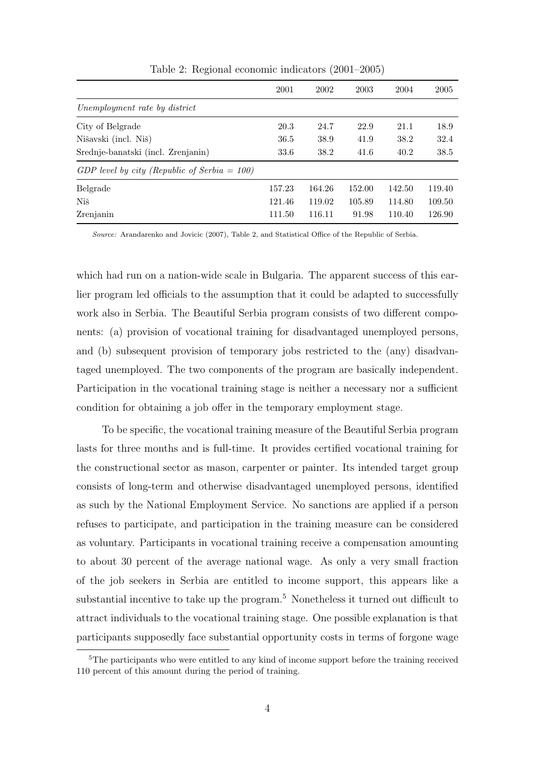|                                                 | 2001   | 2002   | 2003   | 2004   | 2005   |
|-------------------------------------------------|--------|--------|--------|--------|--------|
| Unemployment rate by district                   |        |        |        |        |        |
| City of Belgrade                                | 20.3   | 24.7   | 22.9   | 21.1   | 18.9   |
| Nišavski (incl. Niš)                            | 36.5   | 38.9   | 41.9   | 38.2   | 32.4   |
| Srednje-banatski (incl. Zrenjanin)              | 33.6   | 38.2   | 41.6   | 40.2   | 38.5   |
| GDP level by city (Republic of Serbia = $100$ ) |        |        |        |        |        |
| Belgrade                                        | 157.23 | 164.26 | 152.00 | 142.50 | 119.40 |
| Niš                                             | 121.46 | 119.02 | 105.89 | 114.80 | 109.50 |
| Zrenjanin                                       | 111.50 | 116.11 | 91.98  | 110.40 | 126.90 |

Table 2: Regional economic indicators (2001–2005)

Source: Arandarenko and Jovicic (2007), Table 2, and Statistical Office of the Republic of Serbia.

which had run on a nation-wide scale in Bulgaria. The apparent success of this earlier program led officials to the assumption that it could be adapted to successfully work also in Serbia. The Beautiful Serbia program consists of two different components: (a) provision of vocational training for disadvantaged unemployed persons, and (b) subsequent provision of temporary jobs restricted to the (any) disadvantaged unemployed. The two components of the program are basically independent. Participation in the vocational training stage is neither a necessary nor a sufficient condition for obtaining a job offer in the temporary employment stage.

To be specific, the vocational training measure of the Beautiful Serbia program lasts for three months and is full-time. It provides certified vocational training for the constructional sector as mason, carpenter or painter. Its intended target group consists of long-term and otherwise disadvantaged unemployed persons, identified as such by the National Employment Service. No sanctions are applied if a person refuses to participate, and participation in the training measure can be considered as voluntary. Participants in vocational training receive a compensation amounting to about 30 percent of the average national wage. As only a very small fraction of the job seekers in Serbia are entitled to income support, this appears like a substantial incentive to take up the program.<sup>5</sup> Nonetheless it turned out difficult to attract individuals to the vocational training stage. One possible explanation is that participants supposedly face substantial opportunity costs in terms of forgone wage

<sup>&</sup>lt;sup>5</sup>The participants who were entitled to any kind of income support before the training received 110 percent of this amount during the period of training.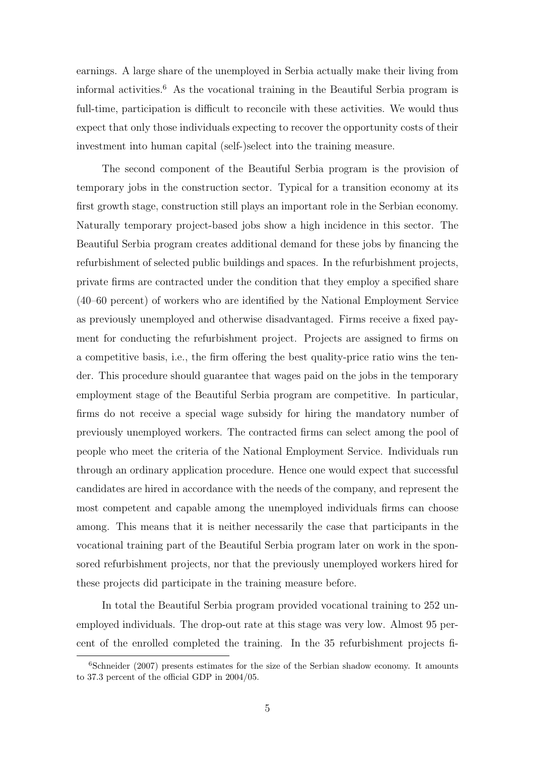earnings. A large share of the unemployed in Serbia actually make their living from informal activities.<sup>6</sup> As the vocational training in the Beautiful Serbia program is full-time, participation is difficult to reconcile with these activities. We would thus expect that only those individuals expecting to recover the opportunity costs of their investment into human capital (self-)select into the training measure.

The second component of the Beautiful Serbia program is the provision of temporary jobs in the construction sector. Typical for a transition economy at its first growth stage, construction still plays an important role in the Serbian economy. Naturally temporary project-based jobs show a high incidence in this sector. The Beautiful Serbia program creates additional demand for these jobs by financing the refurbishment of selected public buildings and spaces. In the refurbishment projects, private firms are contracted under the condition that they employ a specified share (40–60 percent) of workers who are identified by the National Employment Service as previously unemployed and otherwise disadvantaged. Firms receive a fixed payment for conducting the refurbishment project. Projects are assigned to firms on a competitive basis, i.e., the firm offering the best quality-price ratio wins the tender. This procedure should guarantee that wages paid on the jobs in the temporary employment stage of the Beautiful Serbia program are competitive. In particular, firms do not receive a special wage subsidy for hiring the mandatory number of previously unemployed workers. The contracted firms can select among the pool of people who meet the criteria of the National Employment Service. Individuals run through an ordinary application procedure. Hence one would expect that successful candidates are hired in accordance with the needs of the company, and represent the most competent and capable among the unemployed individuals firms can choose among. This means that it is neither necessarily the case that participants in the vocational training part of the Beautiful Serbia program later on work in the sponsored refurbishment projects, nor that the previously unemployed workers hired for these projects did participate in the training measure before.

In total the Beautiful Serbia program provided vocational training to 252 unemployed individuals. The drop-out rate at this stage was very low. Almost 95 percent of the enrolled completed the training. In the 35 refurbishment projects fi-

 $6$ Schneider (2007) presents estimates for the size of the Serbian shadow economy. It amounts to 37.3 percent of the official GDP in 2004/05.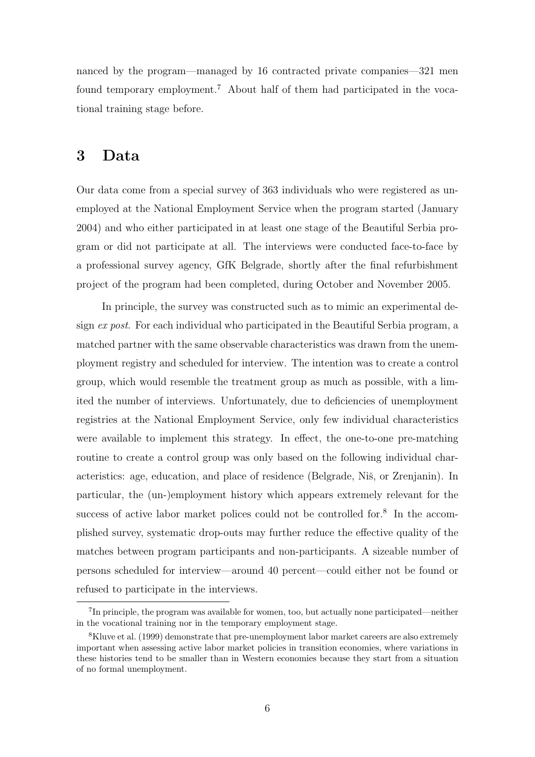nanced by the program—managed by 16 contracted private companies—321 men found temporary employment.<sup>7</sup> About half of them had participated in the vocational training stage before.

#### 3 Data

Our data come from a special survey of 363 individuals who were registered as unemployed at the National Employment Service when the program started (January 2004) and who either participated in at least one stage of the Beautiful Serbia program or did not participate at all. The interviews were conducted face-to-face by a professional survey agency, GfK Belgrade, shortly after the final refurbishment project of the program had been completed, during October and November 2005.

In principle, the survey was constructed such as to mimic an experimental design ex post. For each individual who participated in the Beautiful Serbia program, a matched partner with the same observable characteristics was drawn from the unemployment registry and scheduled for interview. The intention was to create a control group, which would resemble the treatment group as much as possible, with a limited the number of interviews. Unfortunately, due to deficiencies of unemployment registries at the National Employment Service, only few individual characteristics were available to implement this strategy. In effect, the one-to-one pre-matching routine to create a control group was only based on the following individual characteristics: age, education, and place of residence (Belgrade, Niš, or Zrenjanin). In particular, the (un-)employment history which appears extremely relevant for the success of active labor market polices could not be controlled for.<sup>8</sup> In the accomplished survey, systematic drop-outs may further reduce the effective quality of the matches between program participants and non-participants. A sizeable number of persons scheduled for interview—around 40 percent—could either not be found or refused to participate in the interviews.

<sup>&</sup>lt;sup>7</sup>In principle, the program was available for women, too, but actually none participated—neither in the vocational training nor in the temporary employment stage.

<sup>8</sup>Kluve et al. (1999) demonstrate that pre-unemployment labor market careers are also extremely important when assessing active labor market policies in transition economies, where variations in these histories tend to be smaller than in Western economies because they start from a situation of no formal unemployment.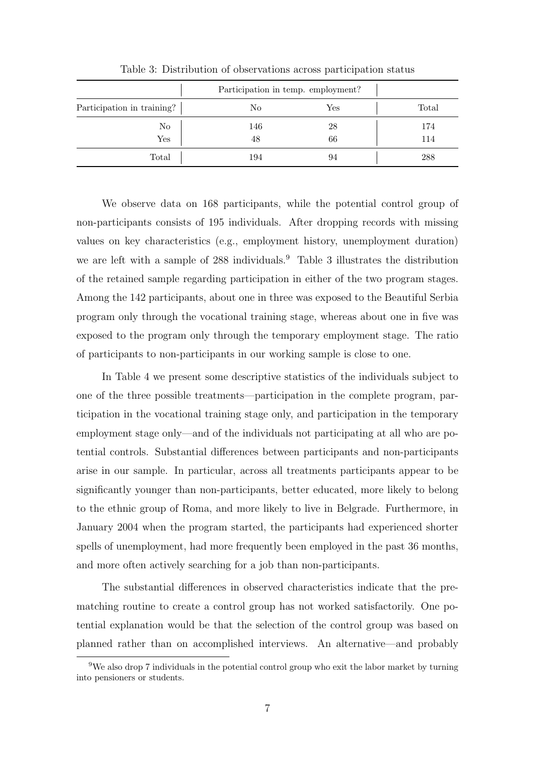|                            | Participation in temp. employment? |     |       |  |
|----------------------------|------------------------------------|-----|-------|--|
| Participation in training? | No                                 | Yes | Total |  |
| No                         | 146                                | 28  | 174   |  |
| Yes                        | 48                                 | 66  | 114   |  |
| Total                      | 194                                | 94  | 288   |  |

Table 3: Distribution of observations across participation status

We observe data on 168 participants, while the potential control group of non-participants consists of 195 individuals. After dropping records with missing values on key characteristics (e.g., employment history, unemployment duration) we are left with a sample of 288 individuals.<sup>9</sup> Table 3 illustrates the distribution of the retained sample regarding participation in either of the two program stages. Among the 142 participants, about one in three was exposed to the Beautiful Serbia program only through the vocational training stage, whereas about one in five was exposed to the program only through the temporary employment stage. The ratio of participants to non-participants in our working sample is close to one.

In Table 4 we present some descriptive statistics of the individuals subject to one of the three possible treatments—participation in the complete program, participation in the vocational training stage only, and participation in the temporary employment stage only—and of the individuals not participating at all who are potential controls. Substantial differences between participants and non-participants arise in our sample. In particular, across all treatments participants appear to be significantly younger than non-participants, better educated, more likely to belong to the ethnic group of Roma, and more likely to live in Belgrade. Furthermore, in January 2004 when the program started, the participants had experienced shorter spells of unemployment, had more frequently been employed in the past 36 months, and more often actively searching for a job than non-participants.

The substantial differences in observed characteristics indicate that the prematching routine to create a control group has not worked satisfactorily. One potential explanation would be that the selection of the control group was based on planned rather than on accomplished interviews. An alternative—and probably

<sup>9</sup>We also drop 7 individuals in the potential control group who exit the labor market by turning into pensioners or students.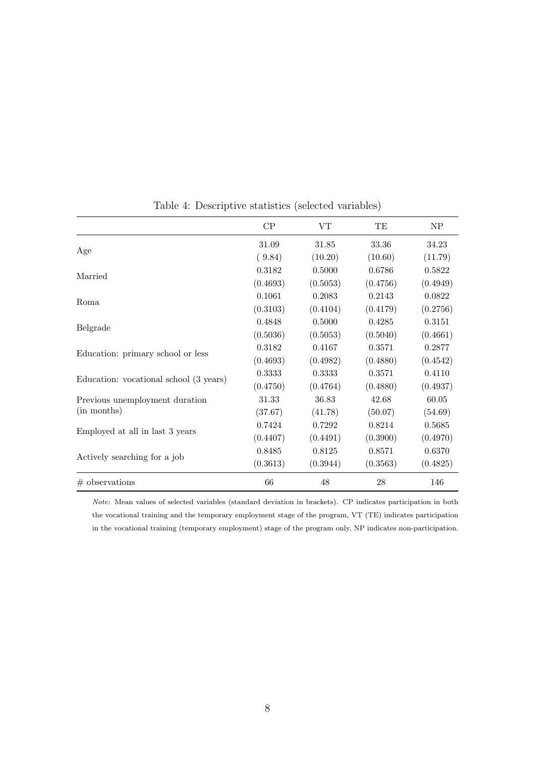|                                        | CP       | VT       | TE       | NP       |
|----------------------------------------|----------|----------|----------|----------|
|                                        | 31.09    | 31.85    | 33.36    | 34.23    |
| Age                                    | (9.84)   | (10.20)  | (10.60)  | (11.79)  |
| Married                                | 0.3182   | 0.5000   | 0.6786   | 0.5822   |
|                                        | (0.4693) | (0.5053) | (0.4756) | (0.4949) |
| Roma                                   | 0.1061   | 0.2083   | 0.2143   | 0.0822   |
|                                        | (0.3103) | (0.4104) | (0.4179) | (0.2756) |
|                                        | 0.4848   | 0.5000   | 0.4285   | 0.3151   |
| Belgrade                               | (0.5036) | (0.5053) | (0.5040) | (0.4661) |
|                                        | 0.3182   | 0.4167   | 0.3571   | 0.2877   |
| Education: primary school or less      | (0.4693) | (0.4982) | (0.4880) | (0.4542) |
|                                        | 0.3333   | 0.3333   | 0.3571   | 0.4110   |
| Education: vocational school (3 years) | (0.4750) | (0.4764) | (0.4880) | (0.4937) |
| Previous unemployment duration         | 31.33    | 36.83    | 42.68    | 60.05    |
| (in months)                            | (37.67)  | (41.78)  | (50.07)  | (54.69)  |
|                                        | 0.7424   | 0.7292   | 0.8214   | 0.5685   |
| Employed at all in last 3 years        | (0.4407) | (0.4491) | (0.3900) | (0.4970) |
|                                        | 0.8485   | 0.8125   | 0.8571   | 0.6370   |
| Actively searching for a job           | (0.3613) | (0.3944) | (0.3563) | (0.4825) |
| $#$ observations                       | 66       | 48       | 28       | 146      |

Table 4: Descriptive statistics (selected variables)

Note: Mean values of selected variables (standard deviation in brackets). CP indicates participation in both the vocational training and the temporary employment stage of the program, VT (TE) indicates participation in the vocational training (temporary employment) stage of the program only, NP indicates non-participation.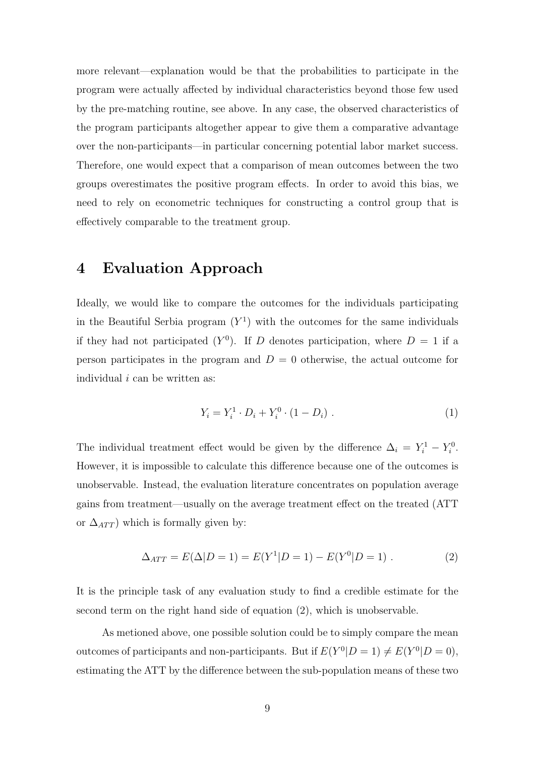more relevant—explanation would be that the probabilities to participate in the program were actually affected by individual characteristics beyond those few used by the pre-matching routine, see above. In any case, the observed characteristics of the program participants altogether appear to give them a comparative advantage over the non-participants—in particular concerning potential labor market success. Therefore, one would expect that a comparison of mean outcomes between the two groups overestimates the positive program effects. In order to avoid this bias, we need to rely on econometric techniques for constructing a control group that is effectively comparable to the treatment group.

#### 4 Evaluation Approach

Ideally, we would like to compare the outcomes for the individuals participating in the Beautiful Serbia program  $(Y^1)$  with the outcomes for the same individuals if they had not participated  $(Y^0)$ . If D denotes participation, where  $D = 1$  if a person participates in the program and  $D = 0$  otherwise, the actual outcome for individual  $i$  can be written as:

$$
Y_i = Y_i^1 \cdot D_i + Y_i^0 \cdot (1 - D_i) \tag{1}
$$

The individual treatment effect would be given by the difference  $\Delta_i = Y_i^1 - Y_i^0$ . However, it is impossible to calculate this difference because one of the outcomes is unobservable. Instead, the evaluation literature concentrates on population average gains from treatment—usually on the average treatment effect on the treated (ATT or  $\Delta_{ATT}$ ) which is formally given by:

$$
\Delta_{ATT} = E(\Delta|D=1) = E(Y^1|D=1) - E(Y^0|D=1) . \tag{2}
$$

It is the principle task of any evaluation study to find a credible estimate for the second term on the right hand side of equation (2), which is unobservable.

As metioned above, one possible solution could be to simply compare the mean outcomes of participants and non-participants. But if  $E(Y^0|D=1) \neq E(Y^0|D=0)$ , estimating the ATT by the difference between the sub-population means of these two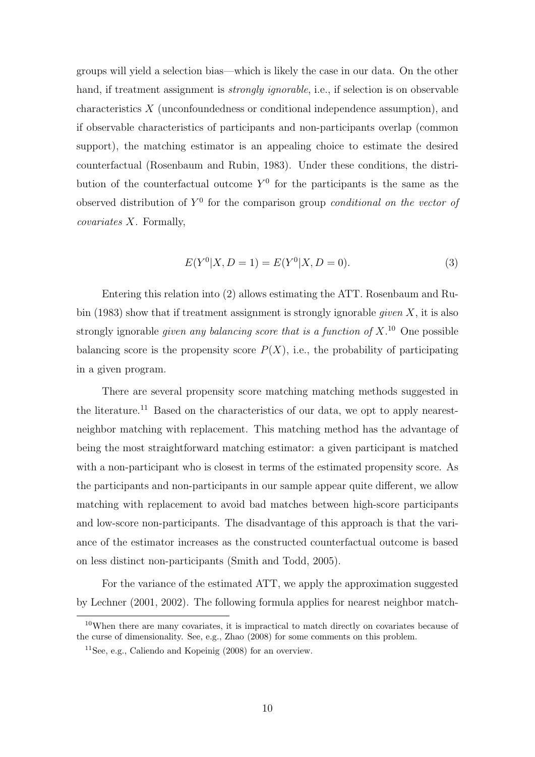groups will yield a selection bias—which is likely the case in our data. On the other hand, if treatment assignment is *strongly ignorable*, i.e., if selection is on observable characteristics X (unconfoundedness or conditional independence assumption), and if observable characteristics of participants and non-participants overlap (common support), the matching estimator is an appealing choice to estimate the desired counterfactual (Rosenbaum and Rubin, 1983). Under these conditions, the distribution of the counterfactual outcome  $Y^0$  for the participants is the same as the observed distribution of  $Y^0$  for the comparison group *conditional on the vector of* covariates X. Formally,

$$
E(Y0|X, D = 1) = E(Y0|X, D = 0).
$$
\n(3)

Entering this relation into (2) allows estimating the ATT. Rosenbaum and Rubin (1983) show that if treatment assignment is strongly ignorable *given* X, it is also strongly ignorable *given any balancing score that is a function of*  $X$ .<sup>10</sup> One possible balancing score is the propensity score  $P(X)$ , i.e., the probability of participating in a given program.

There are several propensity score matching matching methods suggested in the literature.<sup>11</sup> Based on the characteristics of our data, we opt to apply nearestneighbor matching with replacement. This matching method has the advantage of being the most straightforward matching estimator: a given participant is matched with a non-participant who is closest in terms of the estimated propensity score. As the participants and non-participants in our sample appear quite different, we allow matching with replacement to avoid bad matches between high-score participants and low-score non-participants. The disadvantage of this approach is that the variance of the estimator increases as the constructed counterfactual outcome is based on less distinct non-participants (Smith and Todd, 2005).

For the variance of the estimated ATT, we apply the approximation suggested by Lechner (2001, 2002). The following formula applies for nearest neighbor match-

 $10$ When there are many covariates, it is impractical to match directly on covariates because of the curse of dimensionality. See, e.g., Zhao (2008) for some comments on this problem.

<sup>11</sup>See, e.g., Caliendo and Kopeinig (2008) for an overview.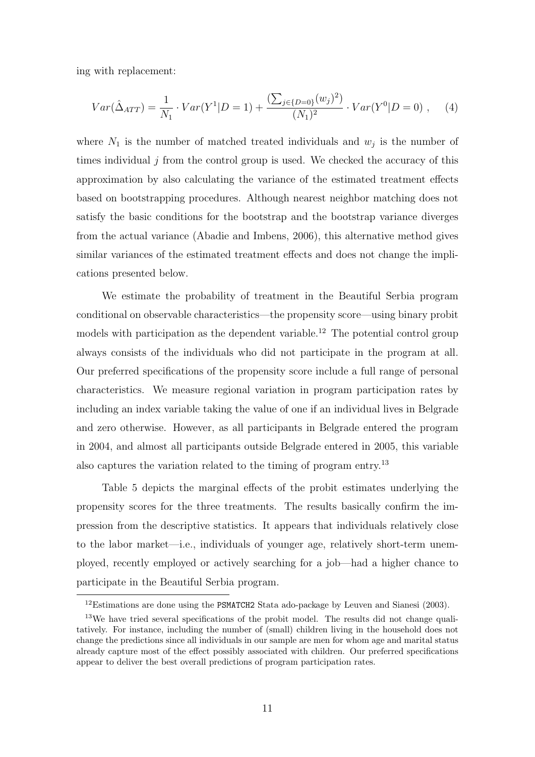ing with replacement:

$$
Var(\hat{\Delta}_{ATT}) = \frac{1}{N_1} \cdot Var(Y^1 | D = 1) + \frac{\left(\sum_{j \in \{D=0\}} (w_j)^2\right)}{(N_1)^2} \cdot Var(Y^0 | D = 0) , \quad (4)
$$

where  $N_1$  is the number of matched treated individuals and  $w_j$  is the number of times individual  $j$  from the control group is used. We checked the accuracy of this approximation by also calculating the variance of the estimated treatment effects based on bootstrapping procedures. Although nearest neighbor matching does not satisfy the basic conditions for the bootstrap and the bootstrap variance diverges from the actual variance (Abadie and Imbens, 2006), this alternative method gives similar variances of the estimated treatment effects and does not change the implications presented below.

We estimate the probability of treatment in the Beautiful Serbia program conditional on observable characteristics—the propensity score—using binary probit models with participation as the dependent variable.<sup>12</sup> The potential control group always consists of the individuals who did not participate in the program at all. Our preferred specifications of the propensity score include a full range of personal characteristics. We measure regional variation in program participation rates by including an index variable taking the value of one if an individual lives in Belgrade and zero otherwise. However, as all participants in Belgrade entered the program in 2004, and almost all participants outside Belgrade entered in 2005, this variable also captures the variation related to the timing of program entry.<sup>13</sup>

Table 5 depicts the marginal effects of the probit estimates underlying the propensity scores for the three treatments. The results basically confirm the impression from the descriptive statistics. It appears that individuals relatively close to the labor market—i.e., individuals of younger age, relatively short-term unemployed, recently employed or actively searching for a job—had a higher chance to participate in the Beautiful Serbia program.

<sup>&</sup>lt;sup>12</sup>Estimations are done using the PSMATCH2 Stata ado-package by Leuven and Sianesi (2003).

<sup>&</sup>lt;sup>13</sup>We have tried several specifications of the probit model. The results did not change qualitatively. For instance, including the number of (small) children living in the household does not change the predictions since all individuals in our sample are men for whom age and marital status already capture most of the effect possibly associated with children. Our preferred specifications appear to deliver the best overall predictions of program participation rates.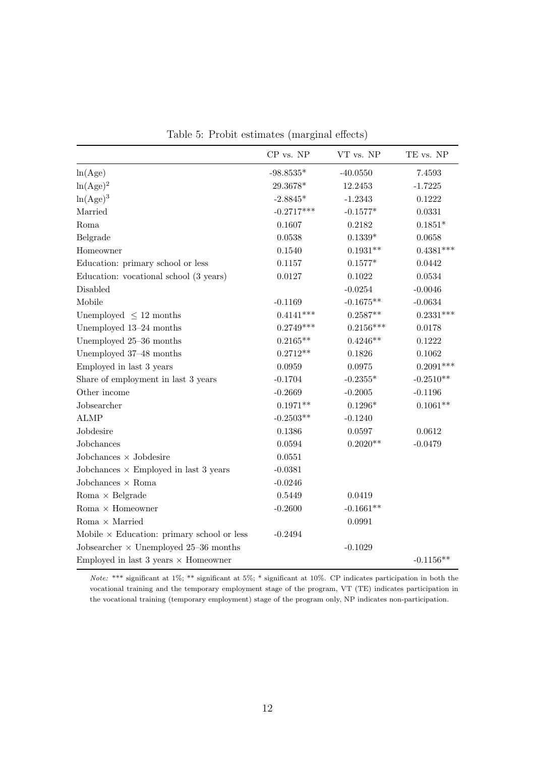|  |  | Table 5: Probit estimates (marginal effects) |  |  |  |
|--|--|----------------------------------------------|--|--|--|
|--|--|----------------------------------------------|--|--|--|

|                                                        | CP vs. NP    | VT vs. NP   | TE vs. NP   |
|--------------------------------------------------------|--------------|-------------|-------------|
| ln(Age)                                                | $-98.8535*$  | $-40.0550$  | 7.4593      |
| $\ln(Age)^2$                                           | 29.3678*     | 12.2453     | $-1.7225$   |
| $\ln(Age)^3$                                           | $-2.8845*$   | $-1.2343$   | 0.1222      |
| Married                                                | $-0.2717***$ | $-0.1577*$  | 0.0331      |
| Roma                                                   | 0.1607       | 0.2182      | $0.1851*$   |
| Belgrade                                               | 0.0538       | $0.1339*$   | 0.0658      |
| Homeowner                                              | 0.1540       | $0.1931**$  | $0.4381***$ |
| Education: primary school or less                      | 0.1157       | $0.1577*$   | 0.0442      |
| Education: vocational school (3 years)                 | 0.0127       | 0.1022      | 0.0534      |
| Disabled                                               |              | $-0.0254$   | $-0.0046$   |
| Mobile                                                 | $-0.1169$    | $-0.1675**$ | $-0.0634$   |
| Unemployed $\leq 12$ months                            | $0.4141***$  | $0.2587**$  | $0.2331***$ |
| Unemployed 13-24 months                                | $0.2749***$  | $0.2156***$ | 0.0178      |
| Unemployed 25-36 months                                | $0.2165**$   | $0.4246**$  | 0.1222      |
| Unemployed 37-48 months                                | $0.2712**$   | 0.1826      | 0.1062      |
| Employed in last 3 years                               | 0.0959       | 0.0975      | $0.2091***$ |
| Share of employment in last 3 years                    | $-0.1704$    | $-0.2355*$  | $-0.2510**$ |
| Other income                                           | $-0.2669$    | $-0.2005$   | $-0.1196$   |
| Jobsearcher                                            | $0.1971**$   | $0.1296*$   | $0.1061**$  |
| <b>ALMP</b>                                            | $-0.2503**$  | $-0.1240$   |             |
| Jobdesire                                              | 0.1386       | 0.0597      | 0.0612      |
| Jobchances                                             | 0.0594       | $0.2020**$  | $-0.0479$   |
| Jobchances $\times$ Jobdesire                          | 0.0551       |             |             |
| Jobchances $\times$ Employed in last 3 years           | $-0.0381$    |             |             |
| Jobchances $\times$ Roma                               | $-0.0246$    |             |             |
| Roma $\times$ Belgrade                                 | 0.5449       | 0.0419      |             |
| Roma $\times$ Homeowner                                | $-0.2600$    | $-0.1661**$ |             |
| Roma $\times$ Married                                  |              | 0.0991      |             |
| Mobile $\times$ Education: primary school or less      | $-0.2494$    |             |             |
| Jobsearcher $\times$ Unemployed 25-36 months           |              | $-0.1029$   |             |
| Employed in last $3 \text{ years} \times \text{Homeo}$ |              |             | $-0.1156**$ |

Note: \*\*\* significant at 1%; \*\* significant at 5%; \* significant at 10%. CP indicates participation in both the vocational training and the temporary employment stage of the program, VT (TE) indicates participation in the vocational training (temporary employment) stage of the program only, NP indicates non-participation.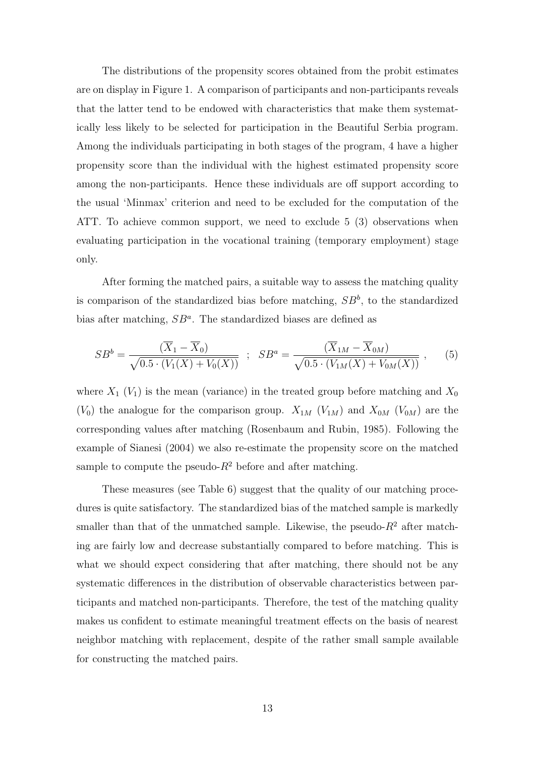The distributions of the propensity scores obtained from the probit estimates are on display in Figure 1. A comparison of participants and non-participants reveals that the latter tend to be endowed with characteristics that make them systematically less likely to be selected for participation in the Beautiful Serbia program. Among the individuals participating in both stages of the program, 4 have a higher propensity score than the individual with the highest estimated propensity score among the non-participants. Hence these individuals are off support according to the usual 'Minmax' criterion and need to be excluded for the computation of the ATT. To achieve common support, we need to exclude 5 (3) observations when evaluating participation in the vocational training (temporary employment) stage only.

After forming the matched pairs, a suitable way to assess the matching quality is comparison of the standardized bias before matching,  $SB<sup>b</sup>$ , to the standardized bias after matching,  $SB^a$ . The standardized biases are defined as

$$
SB^b = \frac{(\overline{X}_1 - \overline{X}_0)}{\sqrt{0.5 \cdot (V_1(X) + V_0(X))}} \; ; \; SB^a = \frac{(\overline{X}_{1M} - \overline{X}_{0M})}{\sqrt{0.5 \cdot (V_{1M}(X) + V_{0M}(X))}} \; , \qquad (5)
$$

where  $X_1$  ( $V_1$ ) is the mean (variance) in the treated group before matching and  $X_0$  $(V_0)$  the analogue for the comparison group.  $X_{1M}$   $(V_{1M})$  and  $X_{0M}$   $(V_{0M})$  are the corresponding values after matching (Rosenbaum and Rubin, 1985). Following the example of Sianesi (2004) we also re-estimate the propensity score on the matched sample to compute the pseudo- $R^2$  before and after matching.

These measures (see Table 6) suggest that the quality of our matching procedures is quite satisfactory. The standardized bias of the matched sample is markedly smaller than that of the unmatched sample. Likewise, the pseudo- $R^2$  after matching are fairly low and decrease substantially compared to before matching. This is what we should expect considering that after matching, there should not be any systematic differences in the distribution of observable characteristics between participants and matched non-participants. Therefore, the test of the matching quality makes us confident to estimate meaningful treatment effects on the basis of nearest neighbor matching with replacement, despite of the rather small sample available for constructing the matched pairs.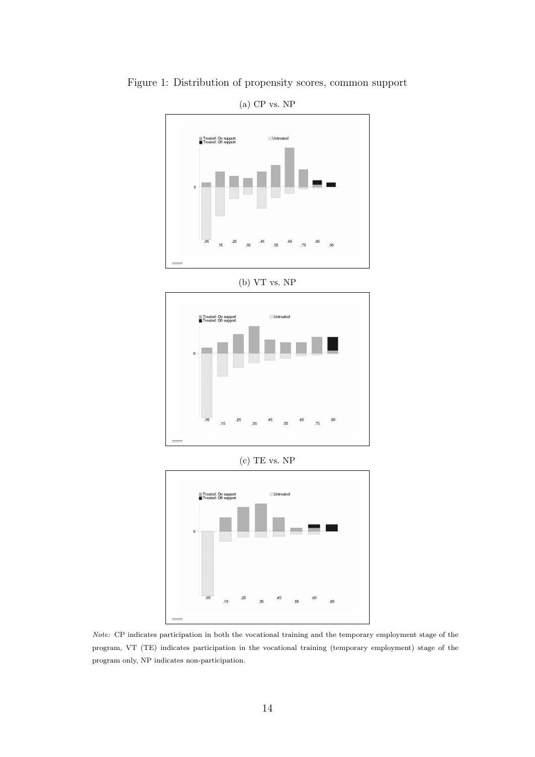

Figure 1: Distribution of propensity scores, common support







Note: CP indicates participation in both the vocational training and the temporary employment stage of the program, VT (TE) indicates participation in the vocational training (temporary employment) stage of the program only, NP indicates non-participation.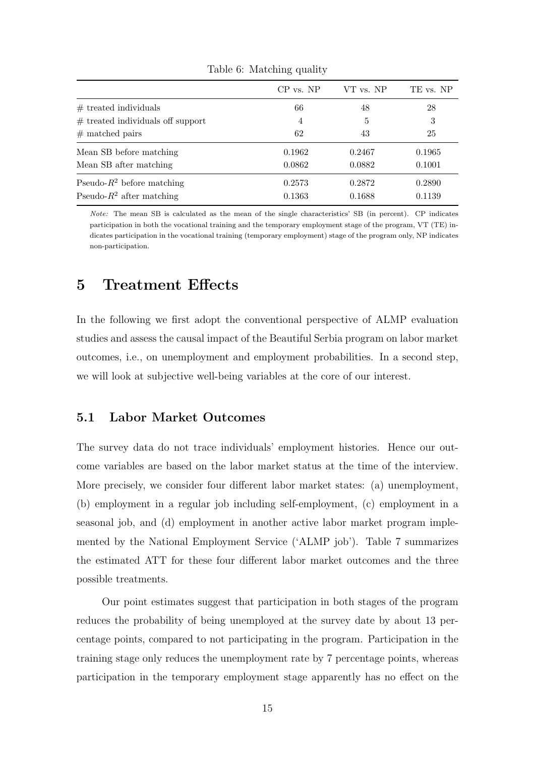|                                     | $CP$ vs. $NP$ | VT vs. NP | TE vs. NP |
|-------------------------------------|---------------|-----------|-----------|
| $#$ treated individuals             | 66            | 48        | 28        |
| $#$ treated individuals off support | 4             | 5         | 3         |
| $#$ matched pairs                   | 62            | 43        | 25        |
| Mean SB before matching             | 0.1962        | 0.2467    | 0.1965    |
| Mean SB after matching              | 0.0862        | 0.0882    | 0.1001    |
| Pseudo- $R^2$ before matching       | 0.2573        | 0.2872    | 0.2890    |
| Pseudo- $R^2$ after matching        | 0.1363        | 0.1688    | 0.1139    |

Table 6: Matching quality

Note: The mean SB is calculated as the mean of the single characteristics' SB (in percent). CP indicates participation in both the vocational training and the temporary employment stage of the program, VT (TE) indicates participation in the vocational training (temporary employment) stage of the program only, NP indicates non-participation.

#### 5 Treatment Effects

In the following we first adopt the conventional perspective of ALMP evaluation studies and assess the causal impact of the Beautiful Serbia program on labor market outcomes, i.e., on unemployment and employment probabilities. In a second step, we will look at subjective well-being variables at the core of our interest.

#### 5.1 Labor Market Outcomes

The survey data do not trace individuals' employment histories. Hence our outcome variables are based on the labor market status at the time of the interview. More precisely, we consider four different labor market states: (a) unemployment, (b) employment in a regular job including self-employment, (c) employment in a seasonal job, and (d) employment in another active labor market program implemented by the National Employment Service ('ALMP job'). Table 7 summarizes the estimated ATT for these four different labor market outcomes and the three possible treatments.

Our point estimates suggest that participation in both stages of the program reduces the probability of being unemployed at the survey date by about 13 percentage points, compared to not participating in the program. Participation in the training stage only reduces the unemployment rate by 7 percentage points, whereas participation in the temporary employment stage apparently has no effect on the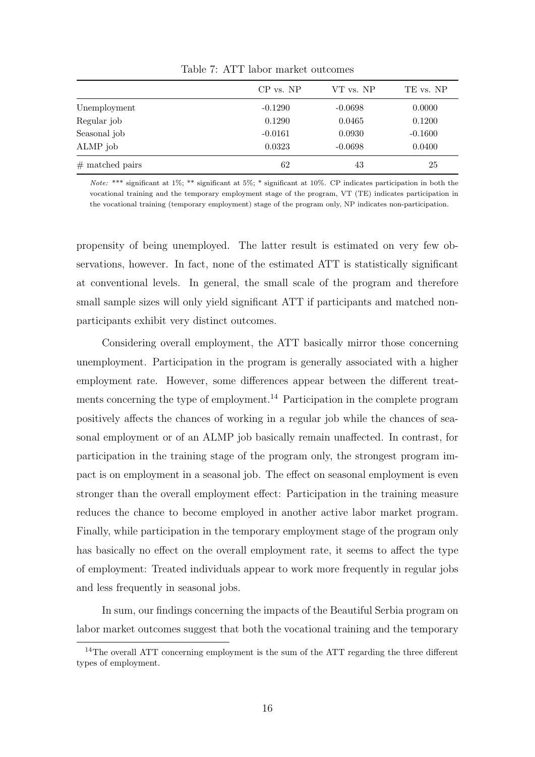|                   | $CP$ vs. $NP$ | VT vs. NP | TE vs. NP |
|-------------------|---------------|-----------|-----------|
| Unemployment      | $-0.1290$     | $-0.0698$ | 0.0000    |
| Regular job       | 0.1290        | 0.0465    | 0.1200    |
| Seasonal job      | $-0.0161$     | 0.0930    | $-0.1600$ |
| ALMP job          | 0.0323        | $-0.0698$ | 0.0400    |
| $#$ matched pairs | 62            | 43        | 25        |

Table 7: ATT labor market outcomes

Note: \*\*\* significant at 1%; \*\* significant at 5%; \* significant at 10%. CP indicates participation in both the vocational training and the temporary employment stage of the program, VT (TE) indicates participation in the vocational training (temporary employment) stage of the program only, NP indicates non-participation.

propensity of being unemployed. The latter result is estimated on very few observations, however. In fact, none of the estimated ATT is statistically significant at conventional levels. In general, the small scale of the program and therefore small sample sizes will only yield significant ATT if participants and matched nonparticipants exhibit very distinct outcomes.

Considering overall employment, the ATT basically mirror those concerning unemployment. Participation in the program is generally associated with a higher employment rate. However, some differences appear between the different treatments concerning the type of employment.<sup>14</sup> Participation in the complete program positively affects the chances of working in a regular job while the chances of seasonal employment or of an ALMP job basically remain unaffected. In contrast, for participation in the training stage of the program only, the strongest program impact is on employment in a seasonal job. The effect on seasonal employment is even stronger than the overall employment effect: Participation in the training measure reduces the chance to become employed in another active labor market program. Finally, while participation in the temporary employment stage of the program only has basically no effect on the overall employment rate, it seems to affect the type of employment: Treated individuals appear to work more frequently in regular jobs and less frequently in seasonal jobs.

In sum, our findings concerning the impacts of the Beautiful Serbia program on labor market outcomes suggest that both the vocational training and the temporary

<sup>&</sup>lt;sup>14</sup>The overall ATT concerning employment is the sum of the ATT regarding the three different types of employment.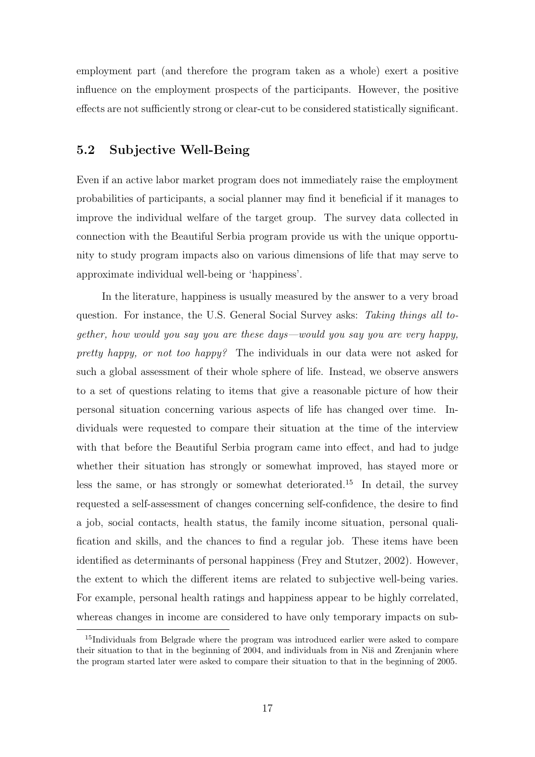employment part (and therefore the program taken as a whole) exert a positive influence on the employment prospects of the participants. However, the positive effects are not sufficiently strong or clear-cut to be considered statistically significant.

#### 5.2 Subjective Well-Being

Even if an active labor market program does not immediately raise the employment probabilities of participants, a social planner may find it beneficial if it manages to improve the individual welfare of the target group. The survey data collected in connection with the Beautiful Serbia program provide us with the unique opportunity to study program impacts also on various dimensions of life that may serve to approximate individual well-being or 'happiness'.

In the literature, happiness is usually measured by the answer to a very broad question. For instance, the U.S. General Social Survey asks: Taking things all together, how would you say you are these days—would you say you are very happy, pretty happy, or not too happy? The individuals in our data were not asked for such a global assessment of their whole sphere of life. Instead, we observe answers to a set of questions relating to items that give a reasonable picture of how their personal situation concerning various aspects of life has changed over time. Individuals were requested to compare their situation at the time of the interview with that before the Beautiful Serbia program came into effect, and had to judge whether their situation has strongly or somewhat improved, has stayed more or less the same, or has strongly or somewhat deteriorated.<sup>15</sup> In detail, the survey requested a self-assessment of changes concerning self-confidence, the desire to find a job, social contacts, health status, the family income situation, personal qualification and skills, and the chances to find a regular job. These items have been identified as determinants of personal happiness (Frey and Stutzer, 2002). However, the extent to which the different items are related to subjective well-being varies. For example, personal health ratings and happiness appear to be highly correlated, whereas changes in income are considered to have only temporary impacts on sub-

<sup>15</sup>Individuals from Belgrade where the program was introduced earlier were asked to compare their situation to that in the beginning of 2004, and individuals from in Niš and Zrenjanin where the program started later were asked to compare their situation to that in the beginning of 2005.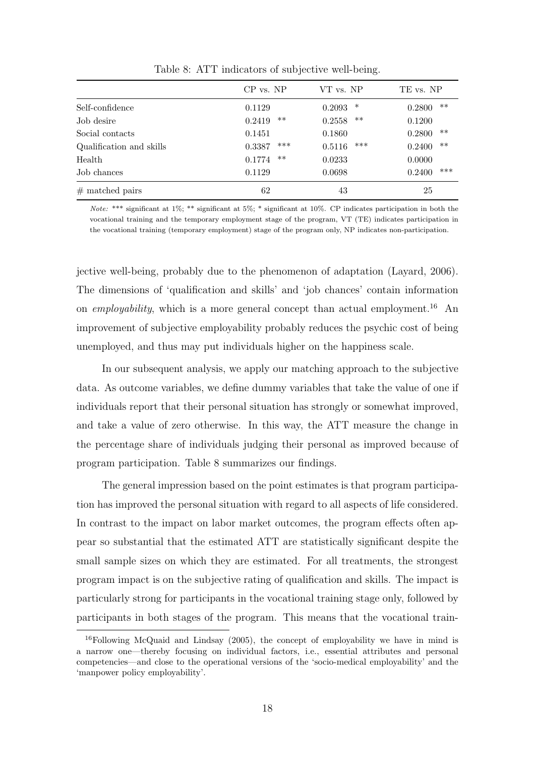|                          | $CP$ vs. $NP$   | VT vs. NP       | TE vs. NP       |
|--------------------------|-----------------|-----------------|-----------------|
| Self-confidence          | 0.1129          | ∗<br>0.2093     | $***$<br>0.2800 |
| Job desire               | $***$<br>0.2419 | $***$<br>0.2558 | 0.1200          |
| Social contacts          | 0.1451          | 0.1860          | $***$<br>0.2800 |
| Qualification and skills | ***<br>0.3387   | ***<br>0.5116   | $**$<br>0.2400  |
| Health                   | $***$<br>0.1774 | 0.0233          | 0.0000          |
| Job chances              | 0.1129          | 0.0698          | ***<br>0.2400   |
| $#$ matched pairs        | 62              | 43              | 25              |

Table 8: ATT indicators of subjective well-being.

Note: \*\*\* significant at  $1\%$ ; \*\* significant at  $5\%$ ; \* significant at  $10\%$ . CP indicates participation in both the vocational training and the temporary employment stage of the program, VT (TE) indicates participation in the vocational training (temporary employment) stage of the program only, NP indicates non-participation.

jective well-being, probably due to the phenomenon of adaptation (Layard, 2006). The dimensions of 'qualification and skills' and 'job chances' contain information on *employability*, which is a more general concept than actual employment.<sup>16</sup> An improvement of subjective employability probably reduces the psychic cost of being unemployed, and thus may put individuals higher on the happiness scale.

In our subsequent analysis, we apply our matching approach to the subjective data. As outcome variables, we define dummy variables that take the value of one if individuals report that their personal situation has strongly or somewhat improved, and take a value of zero otherwise. In this way, the ATT measure the change in the percentage share of individuals judging their personal as improved because of program participation. Table 8 summarizes our findings.

The general impression based on the point estimates is that program participation has improved the personal situation with regard to all aspects of life considered. In contrast to the impact on labor market outcomes, the program effects often appear so substantial that the estimated ATT are statistically significant despite the small sample sizes on which they are estimated. For all treatments, the strongest program impact is on the subjective rating of qualification and skills. The impact is particularly strong for participants in the vocational training stage only, followed by participants in both stages of the program. This means that the vocational train-

 $16$ Following McQuaid and Lindsay (2005), the concept of employability we have in mind is a narrow one—thereby focusing on individual factors, i.e., essential attributes and personal competencies—and close to the operational versions of the 'socio-medical employability' and the 'manpower policy employability'.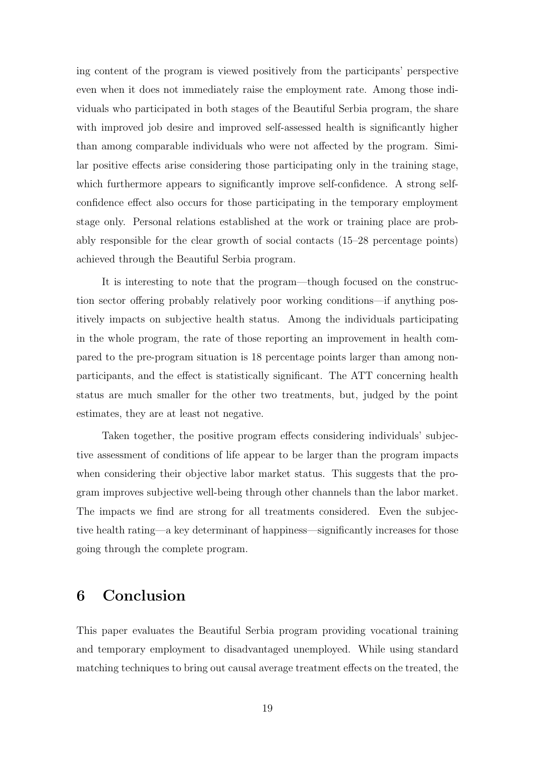ing content of the program is viewed positively from the participants' perspective even when it does not immediately raise the employment rate. Among those individuals who participated in both stages of the Beautiful Serbia program, the share with improved job desire and improved self-assessed health is significantly higher than among comparable individuals who were not affected by the program. Similar positive effects arise considering those participating only in the training stage, which furthermore appears to significantly improve self-confidence. A strong selfconfidence effect also occurs for those participating in the temporary employment stage only. Personal relations established at the work or training place are probably responsible for the clear growth of social contacts (15–28 percentage points) achieved through the Beautiful Serbia program.

It is interesting to note that the program—though focused on the construction sector offering probably relatively poor working conditions—if anything positively impacts on subjective health status. Among the individuals participating in the whole program, the rate of those reporting an improvement in health compared to the pre-program situation is 18 percentage points larger than among nonparticipants, and the effect is statistically significant. The ATT concerning health status are much smaller for the other two treatments, but, judged by the point estimates, they are at least not negative.

Taken together, the positive program effects considering individuals' subjective assessment of conditions of life appear to be larger than the program impacts when considering their objective labor market status. This suggests that the program improves subjective well-being through other channels than the labor market. The impacts we find are strong for all treatments considered. Even the subjective health rating—a key determinant of happiness—significantly increases for those going through the complete program.

# 6 Conclusion

This paper evaluates the Beautiful Serbia program providing vocational training and temporary employment to disadvantaged unemployed. While using standard matching techniques to bring out causal average treatment effects on the treated, the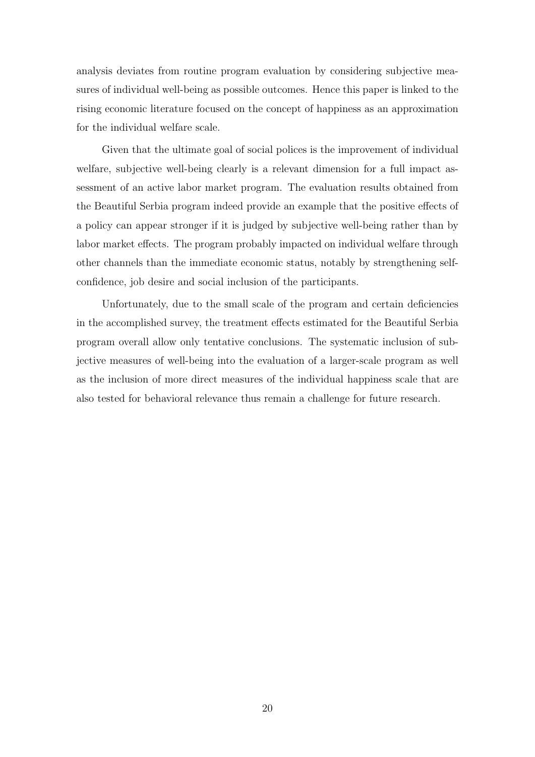analysis deviates from routine program evaluation by considering subjective measures of individual well-being as possible outcomes. Hence this paper is linked to the rising economic literature focused on the concept of happiness as an approximation for the individual welfare scale.

Given that the ultimate goal of social polices is the improvement of individual welfare, subjective well-being clearly is a relevant dimension for a full impact assessment of an active labor market program. The evaluation results obtained from the Beautiful Serbia program indeed provide an example that the positive effects of a policy can appear stronger if it is judged by subjective well-being rather than by labor market effects. The program probably impacted on individual welfare through other channels than the immediate economic status, notably by strengthening selfconfidence, job desire and social inclusion of the participants.

Unfortunately, due to the small scale of the program and certain deficiencies in the accomplished survey, the treatment effects estimated for the Beautiful Serbia program overall allow only tentative conclusions. The systematic inclusion of subjective measures of well-being into the evaluation of a larger-scale program as well as the inclusion of more direct measures of the individual happiness scale that are also tested for behavioral relevance thus remain a challenge for future research.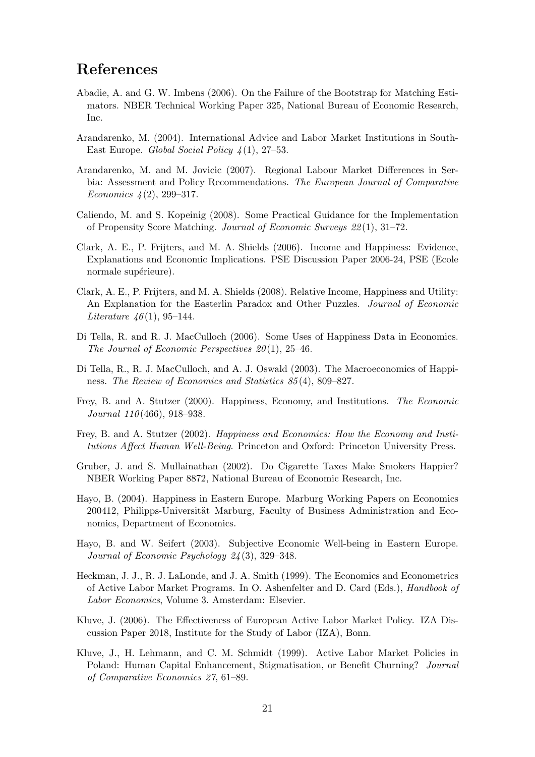# References

- Abadie, A. and G. W. Imbens (2006). On the Failure of the Bootstrap for Matching Estimators. NBER Technical Working Paper 325, National Bureau of Economic Research, Inc.
- Arandarenko, M. (2004). International Advice and Labor Market Institutions in South-East Europe. Global Social Policy  $\mathcal{A}(1)$ , 27–53.
- Arandarenko, M. and M. Jovicic (2007). Regional Labour Market Differences in Serbia: Assessment and Policy Recommendations. The European Journal of Comparative Economics  $\frac{1}{2}(2), 299-317.$
- Caliendo, M. and S. Kopeinig (2008). Some Practical Guidance for the Implementation of Propensity Score Matching. Journal of Economic Surveys 22 (1), 31–72.
- Clark, A. E., P. Frijters, and M. A. Shields (2006). Income and Happiness: Evidence, Explanations and Economic Implications. PSE Discussion Paper 2006-24, PSE (Ecole normale supérieure).
- Clark, A. E., P. Frijters, and M. A. Shields (2008). Relative Income, Happiness and Utility: An Explanation for the Easterlin Paradox and Other Puzzles. *Journal of Economic Literature 46*(1), 95–144.
- Di Tella, R. and R. J. MacCulloch (2006). Some Uses of Happiness Data in Economics. The Journal of Economic Perspectives  $20(1)$ , 25-46.
- Di Tella, R., R. J. MacCulloch, and A. J. Oswald (2003). The Macroeconomics of Happiness. The Review of Economics and Statistics 85 (4), 809–827.
- Frey, B. and A. Stutzer (2000). Happiness, Economy, and Institutions. The Economic Journal 110 (466), 918–938.
- Frey, B. and A. Stutzer (2002). Happiness and Economics: How the Economy and Institutions Affect Human Well-Being. Princeton and Oxford: Princeton University Press.
- Gruber, J. and S. Mullainathan (2002). Do Cigarette Taxes Make Smokers Happier? NBER Working Paper 8872, National Bureau of Economic Research, Inc.
- Hayo, B. (2004). Happiness in Eastern Europe. Marburg Working Papers on Economics 200412, Philipps-Universität Marburg, Faculty of Business Administration and Economics, Department of Economics.
- Hayo, B. and W. Seifert (2003). Subjective Economic Well-being in Eastern Europe. Journal of Economic Psychology 24 (3), 329–348.
- Heckman, J. J., R. J. LaLonde, and J. A. Smith (1999). The Economics and Econometrics of Active Labor Market Programs. In O. Ashenfelter and D. Card (Eds.), Handbook of Labor Economics, Volume 3. Amsterdam: Elsevier.
- Kluve, J. (2006). The Effectiveness of European Active Labor Market Policy. IZA Discussion Paper 2018, Institute for the Study of Labor (IZA), Bonn.
- Kluve, J., H. Lehmann, and C. M. Schmidt (1999). Active Labor Market Policies in Poland: Human Capital Enhancement, Stigmatisation, or Benefit Churning? Journal of Comparative Economics 27, 61–89.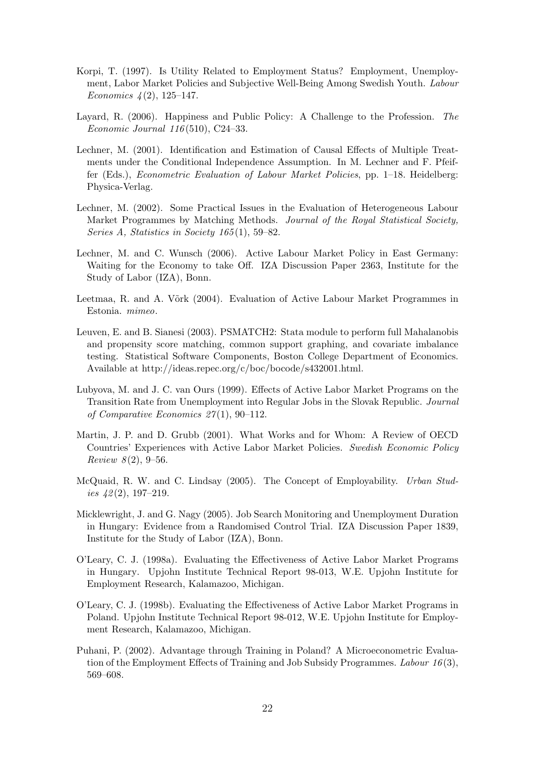- Korpi, T. (1997). Is Utility Related to Employment Status? Employment, Unemployment, Labor Market Policies and Subjective Well-Being Among Swedish Youth. Labour Economics  $\frac{1}{2}$ , 125–147.
- Layard, R. (2006). Happiness and Public Policy: A Challenge to the Profession. The Economic Journal 116 (510), C24–33.
- Lechner, M. (2001). Identification and Estimation of Causal Effects of Multiple Treatments under the Conditional Independence Assumption. In M. Lechner and F. Pfeiffer (Eds.), Econometric Evaluation of Labour Market Policies, pp. 1–18. Heidelberg: Physica-Verlag.
- Lechner, M. (2002). Some Practical Issues in the Evaluation of Heterogeneous Labour Market Programmes by Matching Methods. Journal of the Royal Statistical Society, Series A, Statistics in Society  $165(1)$ , 59–82.
- Lechner, M. and C. Wunsch (2006). Active Labour Market Policy in East Germany: Waiting for the Economy to take Off. IZA Discussion Paper 2363, Institute for the Study of Labor (IZA), Bonn.
- Leetmaa, R. and A. Võrk (2004). Evaluation of Active Labour Market Programmes in Estonia. mimeo.
- Leuven, E. and B. Sianesi (2003). PSMATCH2: Stata module to perform full Mahalanobis and propensity score matching, common support graphing, and covariate imbalance testing. Statistical Software Components, Boston College Department of Economics. Available at http://ideas.repec.org/c/boc/bocode/s432001.html.
- Lubyova, M. and J. C. van Ours (1999). Effects of Active Labor Market Programs on the Transition Rate from Unemployment into Regular Jobs in the Slovak Republic. Journal of Comparative Economics 27 (1), 90–112.
- Martin, J. P. and D. Grubb (2001). What Works and for Whom: A Review of OECD Countries' Experiences with Active Labor Market Policies. Swedish Economic Policy *Review 8* $(2), 9-56.$
- McQuaid, R. W. and C. Lindsay (2005). The Concept of Employability. Urban Studies  $42(2)$ , 197-219.
- Micklewright, J. and G. Nagy (2005). Job Search Monitoring and Unemployment Duration in Hungary: Evidence from a Randomised Control Trial. IZA Discussion Paper 1839, Institute for the Study of Labor (IZA), Bonn.
- O'Leary, C. J. (1998a). Evaluating the Effectiveness of Active Labor Market Programs in Hungary. Upjohn Institute Technical Report 98-013, W.E. Upjohn Institute for Employment Research, Kalamazoo, Michigan.
- O'Leary, C. J. (1998b). Evaluating the Effectiveness of Active Labor Market Programs in Poland. Upjohn Institute Technical Report 98-012, W.E. Upjohn Institute for Employment Research, Kalamazoo, Michigan.
- Puhani, P. (2002). Advantage through Training in Poland? A Microeconometric Evaluation of the Employment Effects of Training and Job Subsidy Programmes. Labour  $16(3)$ , 569–608.